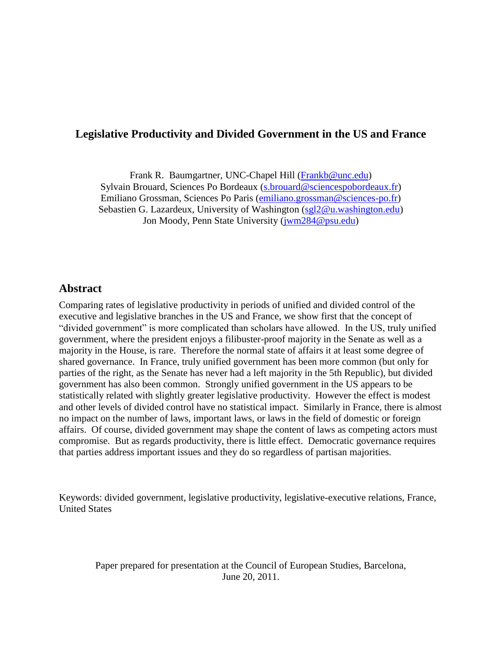## **Legislative Productivity and Divided Government in the US and France**

Frank R. Baumgartner, UNC-Chapel Hill [\(Frankb@unc.edu\)](mailto:Frankb@unc.edu) Sylvain Brouard, Sciences Po Bordeaux [\(s.brouard@sciencespobordeaux.fr\)](mailto:s.brouard@sciencespobordeaux.fr) Emiliano Grossman, Sciences Po Paris [\(emiliano.grossman@sciences-po.fr\)](mailto:emiliano.grossman@sciences-po.fr) Sebastien G. Lazardeux, University of Washington [\(sgl2@u.washington.edu\)](mailto:sgl2@u.washington.edu) Jon Moody, Penn State University (*jwm284@psu.edu*)

### **Abstract**

Comparing rates of legislative productivity in periods of unified and divided control of the executive and legislative branches in the US and France, we show first that the concept of "divided government" is more complicated than scholars have allowed. In the US, truly unified government, where the president enjoys a filibuster-proof majority in the Senate as well as a majority in the House, is rare. Therefore the normal state of affairs it at least some degree of shared governance. In France, truly unified government has been more common (but only for parties of the right, as the Senate has never had a left majority in the 5th Republic), but divided government has also been common. Strongly unified government in the US appears to be statistically related with slightly greater legislative productivity. However the effect is modest and other levels of divided control have no statistical impact. Similarly in France, there is almost no impact on the number of laws, important laws, or laws in the field of domestic or foreign affairs. Of course, divided government may shape the content of laws as competing actors must compromise. But as regards productivity, there is little effect. Democratic governance requires that parties address important issues and they do so regardless of partisan majorities.

Keywords: divided government, legislative productivity, legislative-executive relations, France, United States

Paper prepared for presentation at the Council of European Studies, Barcelona, June 20, 2011.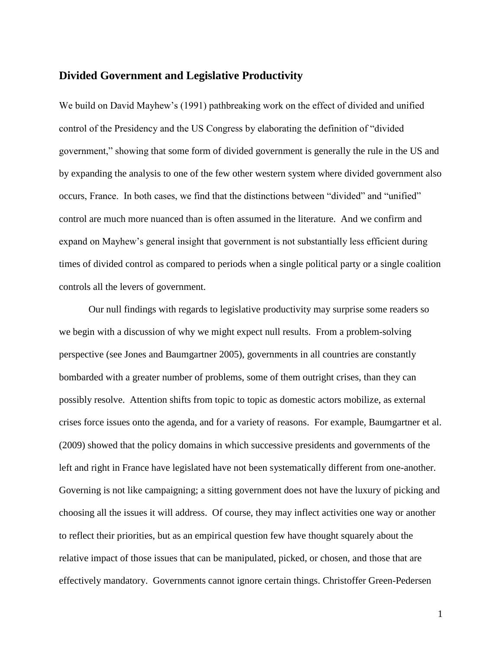## **Divided Government and Legislative Productivity**

We build on David Mayhew's (1991) pathbreaking work on the effect of divided and unified control of the Presidency and the US Congress by elaborating the definition of "divided" government," showing that some form of divided government is generally the rule in the US and by expanding the analysis to one of the few other western system where divided government also occurs, France. In both cases, we find that the distinctions between "divided" and "unified" control are much more nuanced than is often assumed in the literature. And we confirm and expand on Mayhew's general insight that government is not substantially less efficient during times of divided control as compared to periods when a single political party or a single coalition controls all the levers of government.

Our null findings with regards to legislative productivity may surprise some readers so we begin with a discussion of why we might expect null results. From a problem-solving perspective (see Jones and Baumgartner 2005), governments in all countries are constantly bombarded with a greater number of problems, some of them outright crises, than they can possibly resolve. Attention shifts from topic to topic as domestic actors mobilize, as external crises force issues onto the agenda, and for a variety of reasons. For example, Baumgartner et al. (2009) showed that the policy domains in which successive presidents and governments of the left and right in France have legislated have not been systematically different from one-another. Governing is not like campaigning; a sitting government does not have the luxury of picking and choosing all the issues it will address. Of course, they may inflect activities one way or another to reflect their priorities, but as an empirical question few have thought squarely about the relative impact of those issues that can be manipulated, picked, or chosen, and those that are effectively mandatory. Governments cannot ignore certain things. Christoffer Green-Pedersen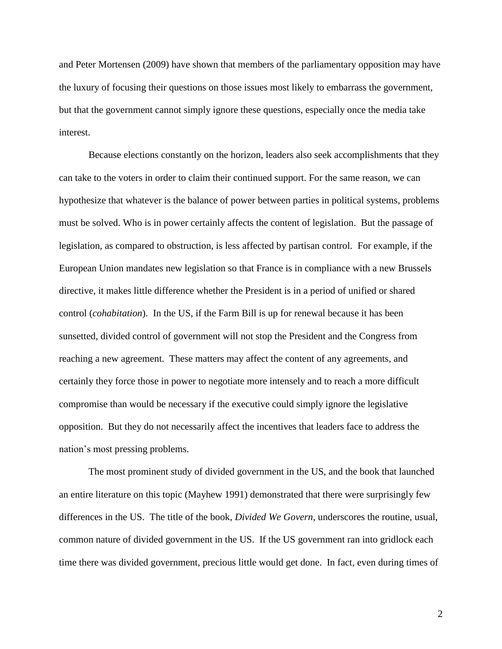and Peter Mortensen (2009) have shown that members of the parliamentary opposition may have the luxury of focusing their questions on those issues most likely to embarrass the government, but that the government cannot simply ignore these questions, especially once the media take interest.

Because elections constantly on the horizon, leaders also seek accomplishments that they can take to the voters in order to claim their continued support. For the same reason, we can hypothesize that whatever is the balance of power between parties in political systems, problems must be solved. Who is in power certainly affects the content of legislation. But the passage of legislation, as compared to obstruction, is less affected by partisan control. For example, if the European Union mandates new legislation so that France is in compliance with a new Brussels directive, it makes little difference whether the President is in a period of unified or shared control (*cohabitation*). In the US, if the Farm Bill is up for renewal because it has been sunsetted, divided control of government will not stop the President and the Congress from reaching a new agreement. These matters may affect the content of any agreements, and certainly they force those in power to negotiate more intensely and to reach a more difficult compromise than would be necessary if the executive could simply ignore the legislative opposition. But they do not necessarily affect the incentives that leaders face to address the nation's most pressing problems.

The most prominent study of divided government in the US, and the book that launched an entire literature on this topic (Mayhew 1991) demonstrated that there were surprisingly few differences in the US. The title of the book, *Divided We Govern*, underscores the routine, usual, common nature of divided government in the US. If the US government ran into gridlock each time there was divided government, precious little would get done. In fact, even during times of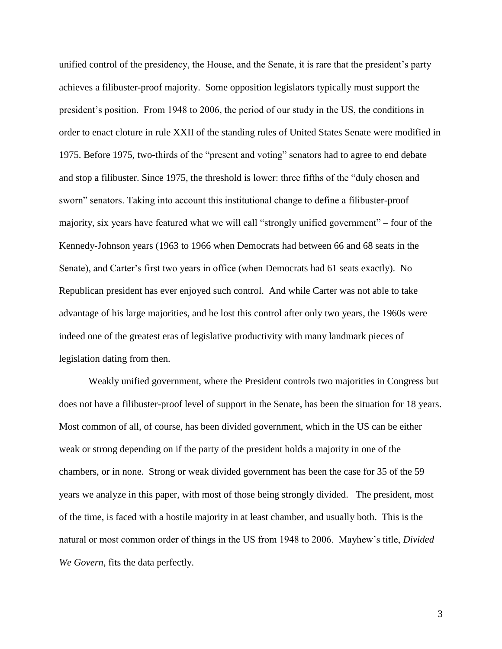unified control of the presidency, the House, and the Senate, it is rare that the president's party achieves a filibuster-proof majority. Some opposition legislators typically must support the president's position. From 1948 to 2006, the period of our study in the US, the conditions in order to enact cloture in rule XXII of the standing rules of United States Senate were modified in 1975. Before 1975, two-thirds of the "present and voting" senators had to agree to end debate and stop a filibuster. Since 1975, the threshold is lower: three fifths of the "duly chosen and sworn" senators. Taking into account this institutional change to define a filibuster-proof majority, six years have featured what we will call "strongly unified government" – four of the Kennedy-Johnson years (1963 to 1966 when Democrats had between 66 and 68 seats in the Senate), and Carter's first two years in office (when Democrats had 61 seats exactly). No Republican president has ever enjoyed such control. And while Carter was not able to take advantage of his large majorities, and he lost this control after only two years, the 1960s were indeed one of the greatest eras of legislative productivity with many landmark pieces of legislation dating from then.

Weakly unified government, where the President controls two majorities in Congress but does not have a filibuster-proof level of support in the Senate, has been the situation for 18 years. Most common of all, of course, has been divided government, which in the US can be either weak or strong depending on if the party of the president holds a majority in one of the chambers, or in none. Strong or weak divided government has been the case for 35 of the 59 years we analyze in this paper, with most of those being strongly divided. The president, most of the time, is faced with a hostile majority in at least chamber, and usually both. This is the natural or most common order of things in the US from 1948 to 2006. Mayhew's title, *Divided We Govern*, fits the data perfectly.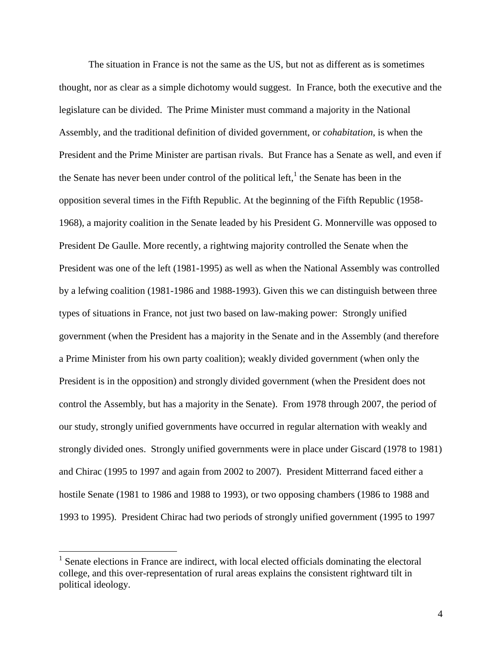The situation in France is not the same as the US, but not as different as is sometimes thought, nor as clear as a simple dichotomy would suggest. In France, both the executive and the legislature can be divided. The Prime Minister must command a majority in the National Assembly, and the traditional definition of divided government, or *cohabitation*, is when the President and the Prime Minister are partisan rivals. But France has a Senate as well, and even if the Senate has never been under control of the political left,  $\frac{1}{1}$  the Senate has been in the opposition several times in the Fifth Republic. At the beginning of the Fifth Republic (1958- 1968), a majority coalition in the Senate leaded by his President G. Monnerville was opposed to President De Gaulle. More recently, a rightwing majority controlled the Senate when the President was one of the left (1981-1995) as well as when the National Assembly was controlled by a lefwing coalition (1981-1986 and 1988-1993). Given this we can distinguish between three types of situations in France, not just two based on law-making power: Strongly unified government (when the President has a majority in the Senate and in the Assembly (and therefore a Prime Minister from his own party coalition); weakly divided government (when only the President is in the opposition) and strongly divided government (when the President does not control the Assembly, but has a majority in the Senate). From 1978 through 2007, the period of our study, strongly unified governments have occurred in regular alternation with weakly and strongly divided ones. Strongly unified governments were in place under Giscard (1978 to 1981) and Chirac (1995 to 1997 and again from 2002 to 2007). President Mitterrand faced either a hostile Senate (1981 to 1986 and 1988 to 1993), or two opposing chambers (1986 to 1988 and 1993 to 1995). President Chirac had two periods of strongly unified government (1995 to 1997

 $\overline{a}$ 

 $<sup>1</sup>$  Senate elections in France are indirect, with local elected officials dominating the electoral</sup> college, and this over-representation of rural areas explains the consistent rightward tilt in political ideology.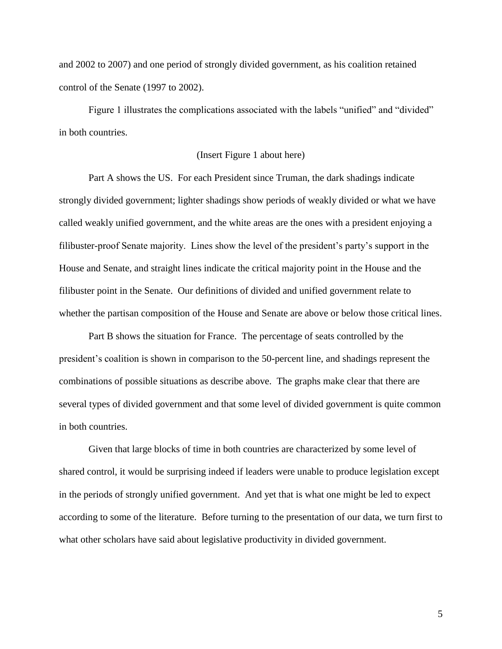and 2002 to 2007) and one period of strongly divided government, as his coalition retained control of the Senate (1997 to 2002).

Figure 1 illustrates the complications associated with the labels "unified" and "divided" in both countries.

#### (Insert Figure 1 about here)

Part A shows the US. For each President since Truman, the dark shadings indicate strongly divided government; lighter shadings show periods of weakly divided or what we have called weakly unified government, and the white areas are the ones with a president enjoying a filibuster-proof Senate majority. Lines show the level of the president's party's support in the House and Senate, and straight lines indicate the critical majority point in the House and the filibuster point in the Senate. Our definitions of divided and unified government relate to whether the partisan composition of the House and Senate are above or below those critical lines.

Part B shows the situation for France. The percentage of seats controlled by the president's coalition is shown in comparison to the 50-percent line, and shadings represent the combinations of possible situations as describe above. The graphs make clear that there are several types of divided government and that some level of divided government is quite common in both countries.

Given that large blocks of time in both countries are characterized by some level of shared control, it would be surprising indeed if leaders were unable to produce legislation except in the periods of strongly unified government. And yet that is what one might be led to expect according to some of the literature. Before turning to the presentation of our data, we turn first to what other scholars have said about legislative productivity in divided government.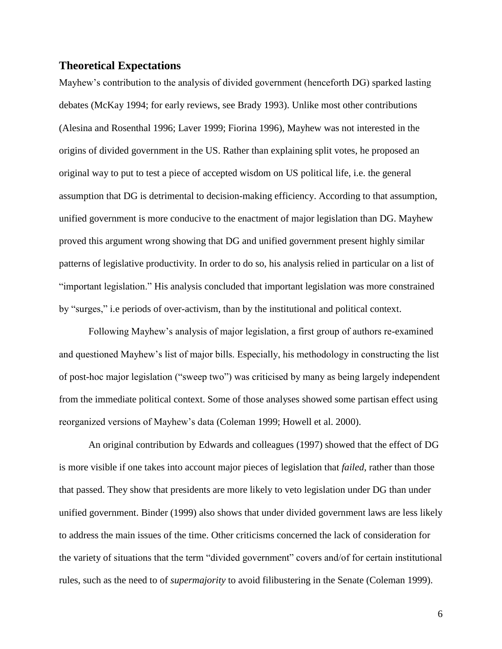### **Theoretical Expectations**

Mayhew's contribution to the analysis of divided government (henceforth DG) sparked lasting debates (McKay 1994; for early reviews, see Brady 1993). Unlike most other contributions (Alesina and Rosenthal 1996; Laver 1999; Fiorina 1996), Mayhew was not interested in the origins of divided government in the US. Rather than explaining split votes, he proposed an original way to put to test a piece of accepted wisdom on US political life, i.e. the general assumption that DG is detrimental to decision-making efficiency. According to that assumption, unified government is more conducive to the enactment of major legislation than DG. Mayhew proved this argument wrong showing that DG and unified government present highly similar patterns of legislative productivity. In order to do so, his analysis relied in particular on a list of "important legislation." His analysis concluded that important legislation was more constrained by "surges," i.e periods of over-activism, than by the institutional and political context.

Following Mayhew's analysis of major legislation, a first group of authors re-examined and questioned Mayhew's list of major bills. Especially, his methodology in constructing the list of post-hoc major legislation ("sweep two") was criticised by many as being largely independent from the immediate political context. Some of those analyses showed some partisan effect using reorganized versions of Mayhew's data (Coleman 1999; Howell et al. 2000).

An original contribution by Edwards and colleagues (1997) showed that the effect of DG is more visible if one takes into account major pieces of legislation that *failed*, rather than those that passed. They show that presidents are more likely to veto legislation under DG than under unified government. Binder (1999) also shows that under divided government laws are less likely to address the main issues of the time. Other criticisms concerned the lack of consideration for the variety of situations that the term "divided government" covers and/of for certain institutional rules, such as the need to of *supermajority* to avoid filibustering in the Senate (Coleman 1999).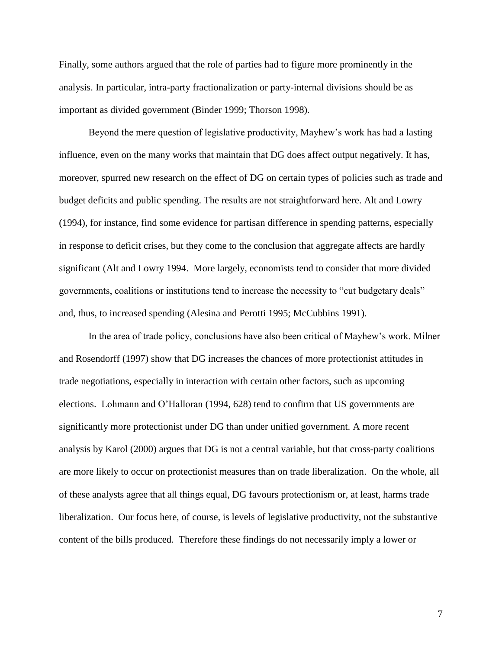Finally, some authors argued that the role of parties had to figure more prominently in the analysis. In particular, intra-party fractionalization or party-internal divisions should be as important as divided government (Binder 1999; Thorson 1998).

Beyond the mere question of legislative productivity, Mayhew's work has had a lasting influence, even on the many works that maintain that DG does affect output negatively. It has, moreover, spurred new research on the effect of DG on certain types of policies such as trade and budget deficits and public spending. The results are not straightforward here. Alt and Lowry (1994), for instance, find some evidence for partisan difference in spending patterns, especially in response to deficit crises, but they come to the conclusion that aggregate affects are hardly significant (Alt and Lowry 1994. More largely, economists tend to consider that more divided governments, coalitions or institutions tend to increase the necessity to "cut budgetary deals" and, thus, to increased spending (Alesina and Perotti 1995; McCubbins 1991).

In the area of trade policy, conclusions have also been critical of Mayhew's work. Milner and Rosendorff (1997) show that DG increases the chances of more protectionist attitudes in trade negotiations, especially in interaction with certain other factors, such as upcoming elections. Lohmann and O'Halloran (1994, 628) tend to confirm that US governments are significantly more protectionist under DG than under unified government. A more recent analysis by Karol (2000) argues that DG is not a central variable, but that cross-party coalitions are more likely to occur on protectionist measures than on trade liberalization. On the whole, all of these analysts agree that all things equal, DG favours protectionism or, at least, harms trade liberalization. Our focus here, of course, is levels of legislative productivity, not the substantive content of the bills produced. Therefore these findings do not necessarily imply a lower or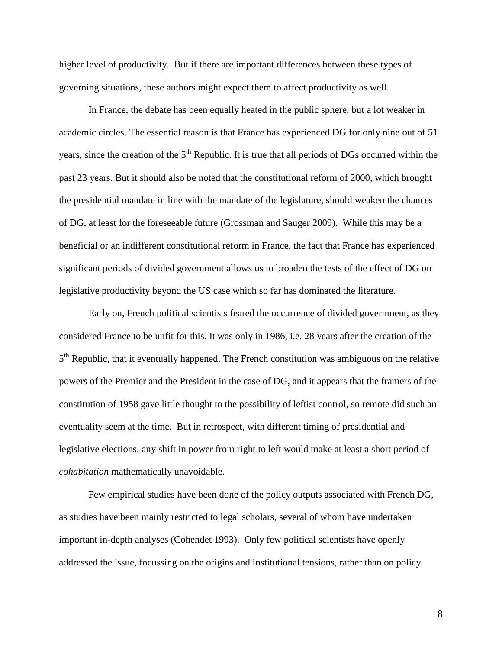higher level of productivity. But if there are important differences between these types of governing situations, these authors might expect them to affect productivity as well.

In France, the debate has been equally heated in the public sphere, but a lot weaker in academic circles. The essential reason is that France has experienced DG for only nine out of 51 years, since the creation of the 5<sup>th</sup> Republic. It is true that all periods of DGs occurred within the past 23 years. But it should also be noted that the constitutional reform of 2000, which brought the presidential mandate in line with the mandate of the legislature, should weaken the chances of DG, at least for the foreseeable future (Grossman and Sauger 2009). While this may be a beneficial or an indifferent constitutional reform in France, the fact that France has experienced significant periods of divided government allows us to broaden the tests of the effect of DG on legislative productivity beyond the US case which so far has dominated the literature.

Early on, French political scientists feared the occurrence of divided government, as they considered France to be unfit for this. It was only in 1986, i.e. 28 years after the creation of the 5<sup>th</sup> Republic, that it eventually happened. The French constitution was ambiguous on the relative powers of the Premier and the President in the case of DG, and it appears that the framers of the constitution of 1958 gave little thought to the possibility of leftist control, so remote did such an eventuality seem at the time. But in retrospect, with different timing of presidential and legislative elections, any shift in power from right to left would make at least a short period of *cohabitation* mathematically unavoidable.

Few empirical studies have been done of the policy outputs associated with French DG, as studies have been mainly restricted to legal scholars, several of whom have undertaken important in-depth analyses (Cohendet 1993). Only few political scientists have openly addressed the issue, focussing on the origins and institutional tensions, rather than on policy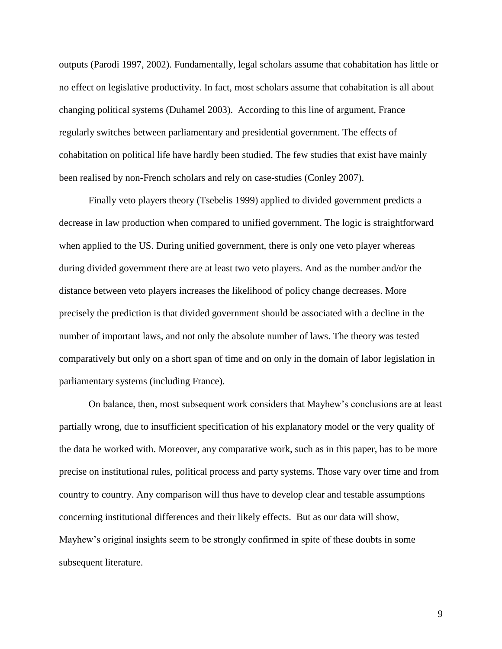outputs (Parodi 1997, 2002). Fundamentally, legal scholars assume that cohabitation has little or no effect on legislative productivity. In fact, most scholars assume that cohabitation is all about changing political systems (Duhamel 2003). According to this line of argument, France regularly switches between parliamentary and presidential government. The effects of cohabitation on political life have hardly been studied. The few studies that exist have mainly been realised by non-French scholars and rely on case-studies (Conley 2007).

Finally veto players theory (Tsebelis 1999) applied to divided government predicts a decrease in law production when compared to unified government. The logic is straightforward when applied to the US. During unified government, there is only one veto player whereas during divided government there are at least two veto players. And as the number and/or the distance between veto players increases the likelihood of policy change decreases. More precisely the prediction is that divided government should be associated with a decline in the number of important laws, and not only the absolute number of laws. The theory was tested comparatively but only on a short span of time and on only in the domain of labor legislation in parliamentary systems (including France).

On balance, then, most subsequent work considers that Mayhew's conclusions are at least partially wrong, due to insufficient specification of his explanatory model or the very quality of the data he worked with. Moreover, any comparative work, such as in this paper, has to be more precise on institutional rules, political process and party systems. Those vary over time and from country to country. Any comparison will thus have to develop clear and testable assumptions concerning institutional differences and their likely effects. But as our data will show, Mayhew's original insights seem to be strongly confirmed in spite of these doubts in some subsequent literature.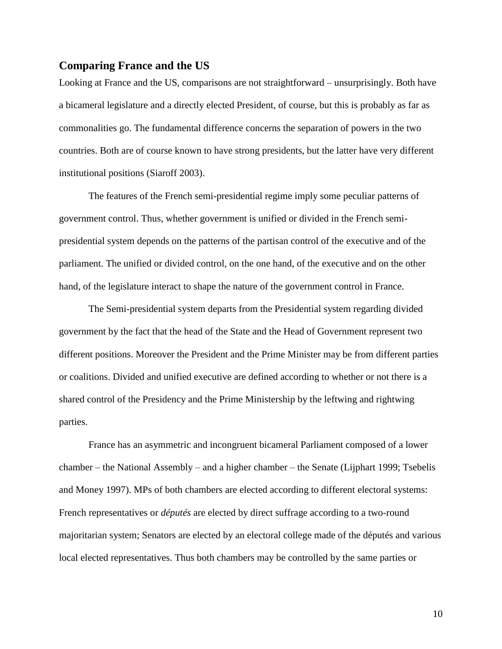#### **Comparing France and the US**

Looking at France and the US, comparisons are not straightforward – unsurprisingly. Both have a bicameral legislature and a directly elected President, of course, but this is probably as far as commonalities go. The fundamental difference concerns the separation of powers in the two countries. Both are of course known to have strong presidents, but the latter have very different institutional positions (Siaroff 2003).

The features of the French semi-presidential regime imply some peculiar patterns of government control. Thus, whether government is unified or divided in the French semipresidential system depends on the patterns of the partisan control of the executive and of the parliament. The unified or divided control, on the one hand, of the executive and on the other hand, of the legislature interact to shape the nature of the government control in France.

The Semi-presidential system departs from the Presidential system regarding divided government by the fact that the head of the State and the Head of Government represent two different positions. Moreover the President and the Prime Minister may be from different parties or coalitions. Divided and unified executive are defined according to whether or not there is a shared control of the Presidency and the Prime Ministership by the leftwing and rightwing parties.

France has an asymmetric and incongruent bicameral Parliament composed of a lower chamber – the National Assembly – and a higher chamber – the Senate (Lijphart 1999; Tsebelis and Money 1997). MPs of both chambers are elected according to different electoral systems: French representatives or *députés* are elected by direct suffrage according to a two-round majoritarian system; Senators are elected by an electoral college made of the députés and various local elected representatives. Thus both chambers may be controlled by the same parties or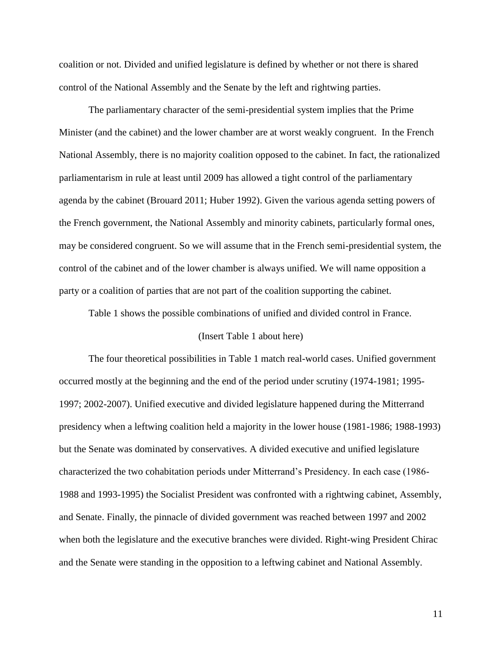coalition or not. Divided and unified legislature is defined by whether or not there is shared control of the National Assembly and the Senate by the left and rightwing parties.

The parliamentary character of the semi-presidential system implies that the Prime Minister (and the cabinet) and the lower chamber are at worst weakly congruent. In the French National Assembly, there is no majority coalition opposed to the cabinet. In fact, the rationalized parliamentarism in rule at least until 2009 has allowed a tight control of the parliamentary agenda by the cabinet (Brouard 2011; Huber 1992). Given the various agenda setting powers of the French government, the National Assembly and minority cabinets, particularly formal ones, may be considered congruent. So we will assume that in the French semi-presidential system, the control of the cabinet and of the lower chamber is always unified. We will name opposition a party or a coalition of parties that are not part of the coalition supporting the cabinet.

Table 1 shows the possible combinations of unified and divided control in France.

#### (Insert Table 1 about here)

The four theoretical possibilities in Table 1 match real-world cases. Unified government occurred mostly at the beginning and the end of the period under scrutiny (1974-1981; 1995- 1997; 2002-2007). Unified executive and divided legislature happened during the Mitterrand presidency when a leftwing coalition held a majority in the lower house (1981-1986; 1988-1993) but the Senate was dominated by conservatives. A divided executive and unified legislature characterized the two cohabitation periods under Mitterrand's Presidency. In each case (1986- 1988 and 1993-1995) the Socialist President was confronted with a rightwing cabinet, Assembly, and Senate. Finally, the pinnacle of divided government was reached between 1997 and 2002 when both the legislature and the executive branches were divided. Right-wing President Chirac and the Senate were standing in the opposition to a leftwing cabinet and National Assembly.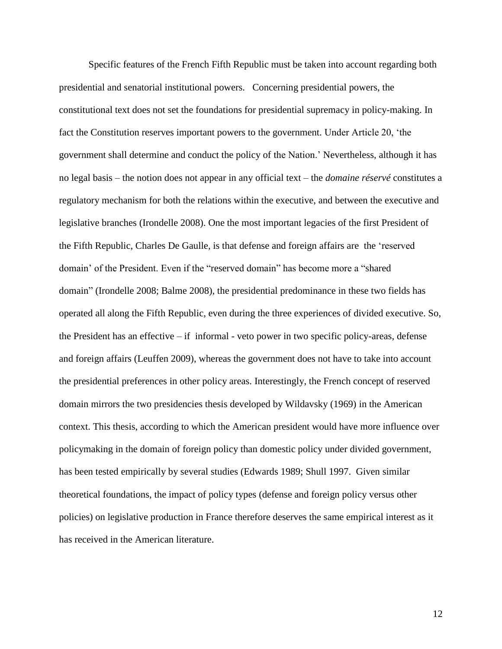Specific features of the French Fifth Republic must be taken into account regarding both presidential and senatorial institutional powers. Concerning presidential powers, the constitutional text does not set the foundations for presidential supremacy in policy-making. In fact the Constitution reserves important powers to the government. Under Article 20, 'the government shall determine and conduct the policy of the Nation.' Nevertheless, although it has no legal basis – the notion does not appear in any official text – the *domaine réservé* constitutes a regulatory mechanism for both the relations within the executive, and between the executive and legislative branches (Irondelle 2008). One the most important legacies of the first President of the Fifth Republic, Charles De Gaulle, is that defense and foreign affairs are the ‗reserved domain' of the President. Even if the "reserved domain" has become more a "shared domain" (Irondelle 2008; Balme 2008), the presidential predominance in these two fields has operated all along the Fifth Republic, even during the three experiences of divided executive. So, the President has an effective – if informal - veto power in two specific policy-areas, defense and foreign affairs (Leuffen 2009), whereas the government does not have to take into account the presidential preferences in other policy areas. Interestingly, the French concept of reserved domain mirrors the two presidencies thesis developed by Wildavsky (1969) in the American context. This thesis, according to which the American president would have more influence over policymaking in the domain of foreign policy than domestic policy under divided government, has been tested empirically by several studies (Edwards 1989; Shull 1997. Given similar theoretical foundations, the impact of policy types (defense and foreign policy versus other policies) on legislative production in France therefore deserves the same empirical interest as it has received in the American literature.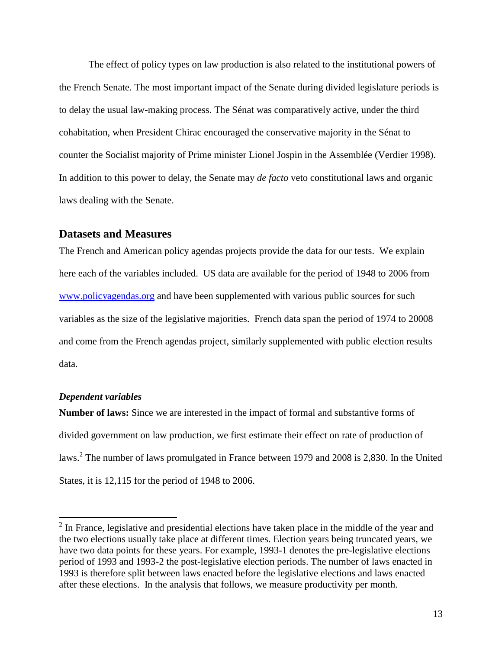The effect of policy types on law production is also related to the institutional powers of the French Senate. The most important impact of the Senate during divided legislature periods is to delay the usual law-making process. The Sénat was comparatively active, under the third cohabitation, when President Chirac encouraged the conservative majority in the Sénat to counter the Socialist majority of Prime minister Lionel Jospin in the Assemblée (Verdier 1998). In addition to this power to delay, the Senate may *de facto* veto constitutional laws and organic laws dealing with the Senate.

#### **Datasets and Measures**

The French and American policy agendas projects provide the data for our tests. We explain here each of the variables included. US data are available for the period of 1948 to 2006 from [www.policyagendas.org](http://www.policyagendas.org/) and have been supplemented with various public sources for such variables as the size of the legislative majorities. French data span the period of 1974 to 20008 and come from the French agendas project, similarly supplemented with public election results data.

#### *Dependent variables*

**Number of laws:** Since we are interested in the impact of formal and substantive forms of divided government on law production, we first estimate their effect on rate of production of laws.<sup>2</sup> The number of laws promulgated in France between 1979 and 2008 is 2,830. In the United States, it is 12,115 for the period of 1948 to 2006.

<sup>&</sup>lt;sup>2</sup> In France, legislative and presidential elections have taken place in the middle of the year and the two elections usually take place at different times. Election years being truncated years, we have two data points for these years. For example, 1993-1 denotes the pre-legislative elections period of 1993 and 1993-2 the post-legislative election periods. The number of laws enacted in 1993 is therefore split between laws enacted before the legislative elections and laws enacted after these elections. In the analysis that follows, we measure productivity per month.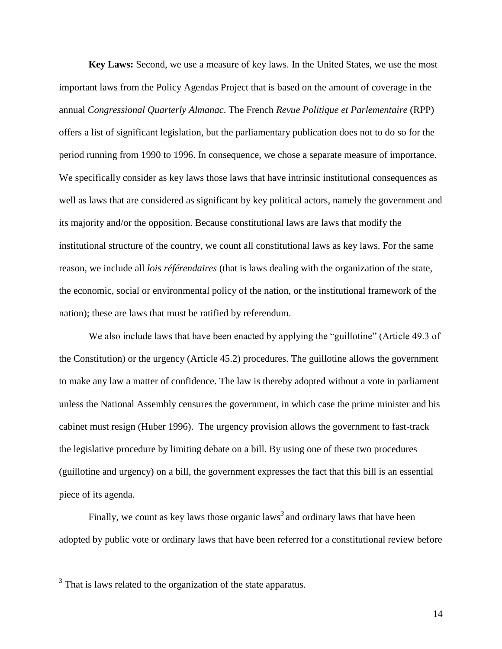**Key Laws:** Second, we use a measure of key laws. In the United States, we use the most important laws from the Policy Agendas Project that is based on the amount of coverage in the annual *Congressional Quarterly Almanac*. The French *Revue Politique et Parlementaire* (RPP) offers a list of significant legislation, but the parliamentary publication does not to do so for the period running from 1990 to 1996. In consequence, we chose a separate measure of importance. We specifically consider as key laws those laws that have intrinsic institutional consequences as well as laws that are considered as significant by key political actors, namely the government and its majority and/or the opposition. Because constitutional laws are laws that modify the institutional structure of the country, we count all constitutional laws as key laws. For the same reason, we include all *lois référendaires* (that is laws dealing with the organization of the state, the economic, social or environmental policy of the nation, or the institutional framework of the nation); these are laws that must be ratified by referendum.

We also include laws that have been enacted by applying the "guillotine" (Article 49.3 of the Constitution) or the urgency (Article 45.2) procedures. The guillotine allows the government to make any law a matter of confidence. The law is thereby adopted without a vote in parliament unless the National Assembly censures the government, in which case the prime minister and his cabinet must resign (Huber 1996). The urgency provision allows the government to fast-track the legislative procedure by limiting debate on a bill. By using one of these two procedures (guillotine and urgency) on a bill, the government expresses the fact that this bill is an essential piece of its agenda.

Finally, we count as key laws those organic laws<sup>3</sup> and ordinary laws that have been adopted by public vote or ordinary laws that have been referred for a constitutional review before

<sup>&</sup>lt;sup>3</sup> That is laws related to the organization of the state apparatus.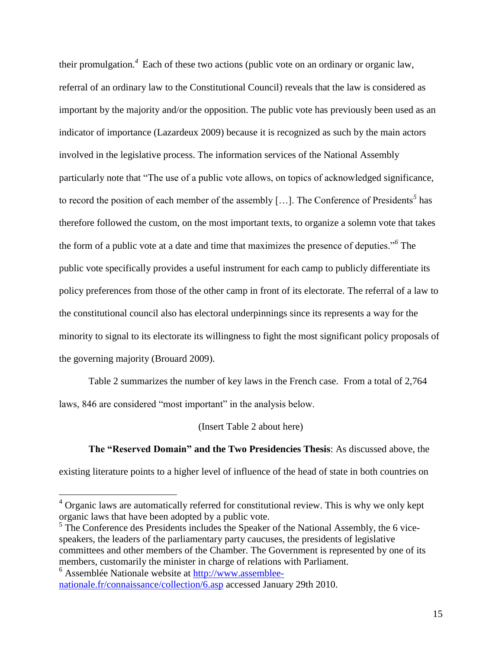their promulgation. *4* Each of these two actions (public vote on an ordinary or organic law, referral of an ordinary law to the Constitutional Council) reveals that the law is considered as important by the majority and/or the opposition. The public vote has previously been used as an indicator of importance (Lazardeux 2009) because it is recognized as such by the main actors involved in the legislative process. The information services of the National Assembly particularly note that "The use of a public vote allows, on topics of acknowledged significance, to record the position of each member of the assembly […]. The Conference of Presidents*<sup>5</sup>* has therefore followed the custom, on the most important texts, to organize a solemn vote that takes the form of a public vote at a date and time that maximizes the presence of deputies.<sup>76</sup> The public vote specifically provides a useful instrument for each camp to publicly differentiate its policy preferences from those of the other camp in front of its electorate. The referral of a law to the constitutional council also has electoral underpinnings since its represents a way for the minority to signal to its electorate its willingness to fight the most significant policy proposals of the governing majority (Brouard 2009).

Table 2 summarizes the number of key laws in the French case. From a total of 2,764 laws, 846 are considered "most important" in the analysis below.

(Insert Table 2 about here)

**The "Reserved Domain" and the Two Presidencies Thesis**: As discussed above, the existing literature points to a higher level of influence of the head of state in both countries on

<sup>5</sup> The Conference des Presidents includes the Speaker of the National Assembly, the 6 vicespeakers, the leaders of the parliamentary party caucuses, the presidents of legislative committees and other members of the Chamber. The Government is represented by one of its members, customarily the minister in charge of relations with Parliament.

 $\overline{a}$ 

 $4$  Organic laws are automatically referred for constitutional review. This is why we only kept organic laws that have been adopted by a public vote.

 $6$  Assemblée Nationale website at  $\frac{http://www.assembed-}{http://www.assembed-}$ [nationale.fr/connaissance/collection/6.asp](http://www.assemblee-nationale.fr/connaissance/collection/6.asp) accessed January 29th 2010.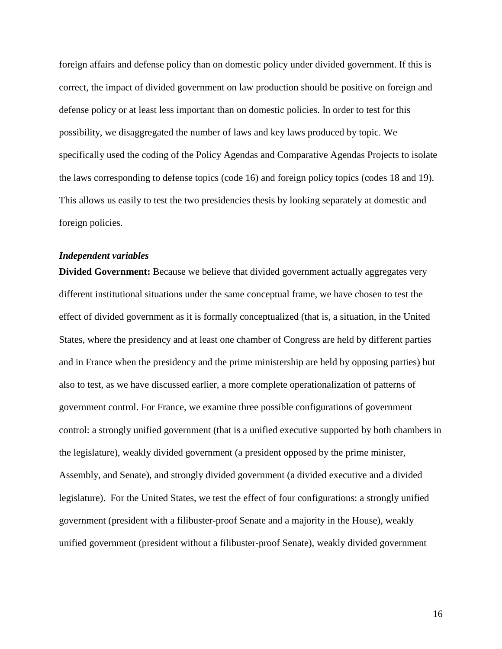foreign affairs and defense policy than on domestic policy under divided government. If this is correct, the impact of divided government on law production should be positive on foreign and defense policy or at least less important than on domestic policies. In order to test for this possibility, we disaggregated the number of laws and key laws produced by topic. We specifically used the coding of the Policy Agendas and Comparative Agendas Projects to isolate the laws corresponding to defense topics (code 16) and foreign policy topics (codes 18 and 19). This allows us easily to test the two presidencies thesis by looking separately at domestic and foreign policies.

#### *Independent variables*

**Divided Government:** Because we believe that divided government actually aggregates very different institutional situations under the same conceptual frame, we have chosen to test the effect of divided government as it is formally conceptualized (that is, a situation, in the United States, where the presidency and at least one chamber of Congress are held by different parties and in France when the presidency and the prime ministership are held by opposing parties) but also to test, as we have discussed earlier, a more complete operationalization of patterns of government control. For France, we examine three possible configurations of government control: a strongly unified government (that is a unified executive supported by both chambers in the legislature), weakly divided government (a president opposed by the prime minister, Assembly, and Senate), and strongly divided government (a divided executive and a divided legislature). For the United States, we test the effect of four configurations: a strongly unified government (president with a filibuster-proof Senate and a majority in the House), weakly unified government (president without a filibuster-proof Senate), weakly divided government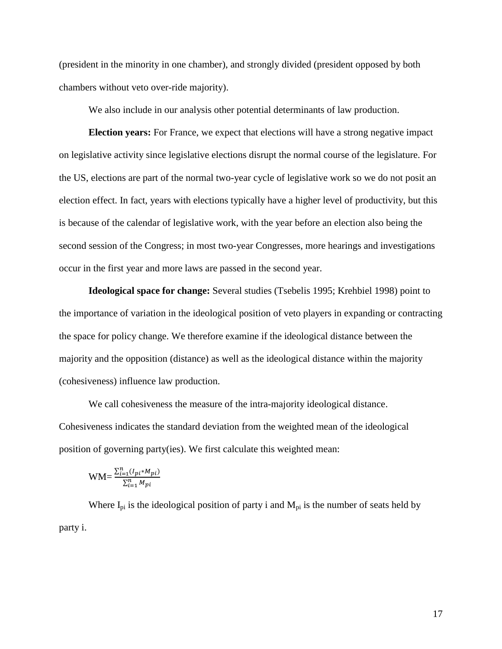(president in the minority in one chamber), and strongly divided (president opposed by both chambers without veto over-ride majority).

We also include in our analysis other potential determinants of law production.

**Election years:** For France, we expect that elections will have a strong negative impact on legislative activity since legislative elections disrupt the normal course of the legislature. For the US, elections are part of the normal two-year cycle of legislative work so we do not posit an election effect. In fact, years with elections typically have a higher level of productivity, but this is because of the calendar of legislative work, with the year before an election also being the second session of the Congress; in most two-year Congresses, more hearings and investigations occur in the first year and more laws are passed in the second year.

**Ideological space for change:** Several studies (Tsebelis 1995; Krehbiel 1998) point to the importance of variation in the ideological position of veto players in expanding or contracting the space for policy change. We therefore examine if the ideological distance between the majority and the opposition (distance) as well as the ideological distance within the majority (cohesiveness) influence law production.

We call cohesiveness the measure of the intra-majority ideological distance. Cohesiveness indicates the standard deviation from the weighted mean of the ideological position of governing party(ies). We first calculate this weighted mean:

$$
WM = \frac{\sum_{i=1}^{n} (I_{pi} * M_{pi})}{\sum_{i=1}^{n} M_{pi}}
$$

Where  $I_{pi}$  is the ideological position of party i and  $M_{pi}$  is the number of seats held by party i.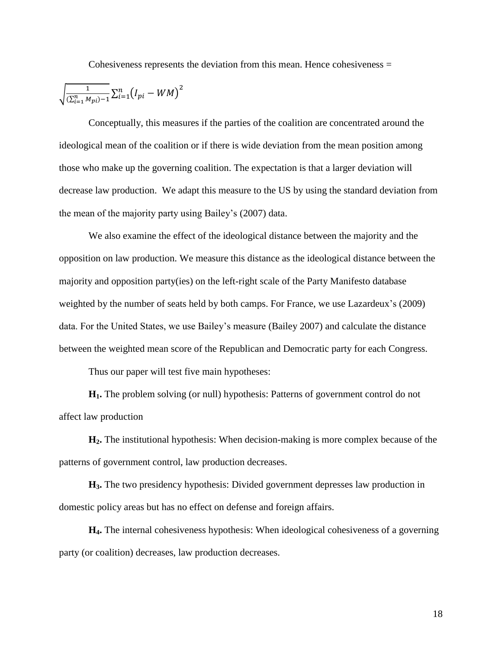Cohesiveness represents the deviation from this mean. Hence cohesiveness  $=$ 

$$
\sqrt{\frac{1}{(\sum_{i=1}^{n} M_{pi})-1}} \sum_{i=1}^{n} (I_{pi} - W M)^2
$$

Conceptually, this measures if the parties of the coalition are concentrated around the ideological mean of the coalition or if there is wide deviation from the mean position among those who make up the governing coalition. The expectation is that a larger deviation will decrease law production. We adapt this measure to the US by using the standard deviation from the mean of the majority party using Bailey's (2007) data.

We also examine the effect of the ideological distance between the majority and the opposition on law production. We measure this distance as the ideological distance between the majority and opposition party(ies) on the left-right scale of the Party Manifesto database weighted by the number of seats held by both camps. For France, we use Lazardeux's (2009) data. For the United States, we use Bailey's measure (Bailey 2007) and calculate the distance between the weighted mean score of the Republican and Democratic party for each Congress.

Thus our paper will test five main hypotheses:

**H1.** The problem solving (or null) hypothesis: Patterns of government control do not affect law production

**H2.** The institutional hypothesis: When decision-making is more complex because of the patterns of government control, law production decreases.

**H3.** The two presidency hypothesis: Divided government depresses law production in domestic policy areas but has no effect on defense and foreign affairs.

**H4.** The internal cohesiveness hypothesis: When ideological cohesiveness of a governing party (or coalition) decreases, law production decreases.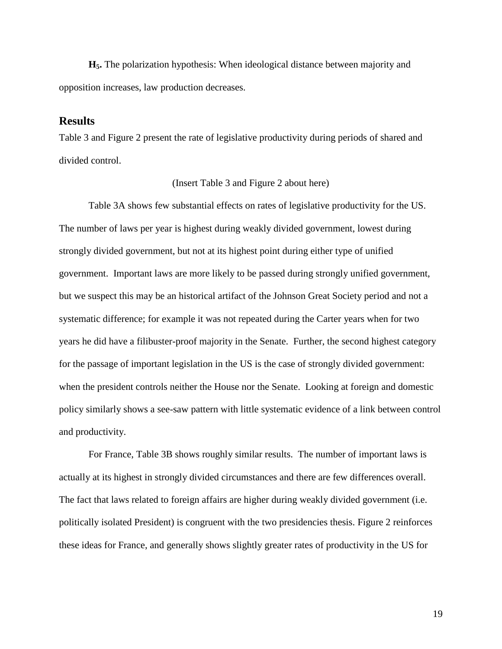**H5.** The polarization hypothesis: When ideological distance between majority and opposition increases, law production decreases.

### **Results**

Table 3 and Figure 2 present the rate of legislative productivity during periods of shared and divided control.

#### (Insert Table 3 and Figure 2 about here)

Table 3A shows few substantial effects on rates of legislative productivity for the US. The number of laws per year is highest during weakly divided government, lowest during strongly divided government, but not at its highest point during either type of unified government. Important laws are more likely to be passed during strongly unified government, but we suspect this may be an historical artifact of the Johnson Great Society period and not a systematic difference; for example it was not repeated during the Carter years when for two years he did have a filibuster-proof majority in the Senate. Further, the second highest category for the passage of important legislation in the US is the case of strongly divided government: when the president controls neither the House nor the Senate. Looking at foreign and domestic policy similarly shows a see-saw pattern with little systematic evidence of a link between control and productivity.

For France, Table 3B shows roughly similar results. The number of important laws is actually at its highest in strongly divided circumstances and there are few differences overall. The fact that laws related to foreign affairs are higher during weakly divided government (i.e. politically isolated President) is congruent with the two presidencies thesis. Figure 2 reinforces these ideas for France, and generally shows slightly greater rates of productivity in the US for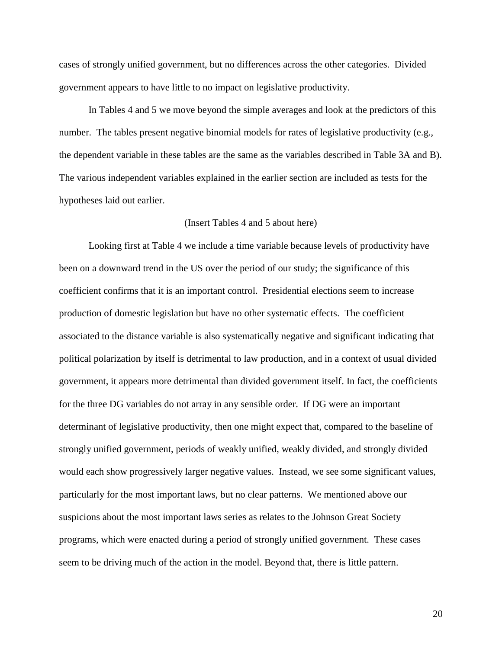cases of strongly unified government, but no differences across the other categories. Divided government appears to have little to no impact on legislative productivity.

In Tables 4 and 5 we move beyond the simple averages and look at the predictors of this number. The tables present negative binomial models for rates of legislative productivity (e.g., the dependent variable in these tables are the same as the variables described in Table 3A and B). The various independent variables explained in the earlier section are included as tests for the hypotheses laid out earlier.

#### (Insert Tables 4 and 5 about here)

Looking first at Table 4 we include a time variable because levels of productivity have been on a downward trend in the US over the period of our study; the significance of this coefficient confirms that it is an important control. Presidential elections seem to increase production of domestic legislation but have no other systematic effects. The coefficient associated to the distance variable is also systematically negative and significant indicating that political polarization by itself is detrimental to law production, and in a context of usual divided government, it appears more detrimental than divided government itself. In fact, the coefficients for the three DG variables do not array in any sensible order. If DG were an important determinant of legislative productivity, then one might expect that, compared to the baseline of strongly unified government, periods of weakly unified, weakly divided, and strongly divided would each show progressively larger negative values. Instead, we see some significant values, particularly for the most important laws, but no clear patterns. We mentioned above our suspicions about the most important laws series as relates to the Johnson Great Society programs, which were enacted during a period of strongly unified government. These cases seem to be driving much of the action in the model. Beyond that, there is little pattern.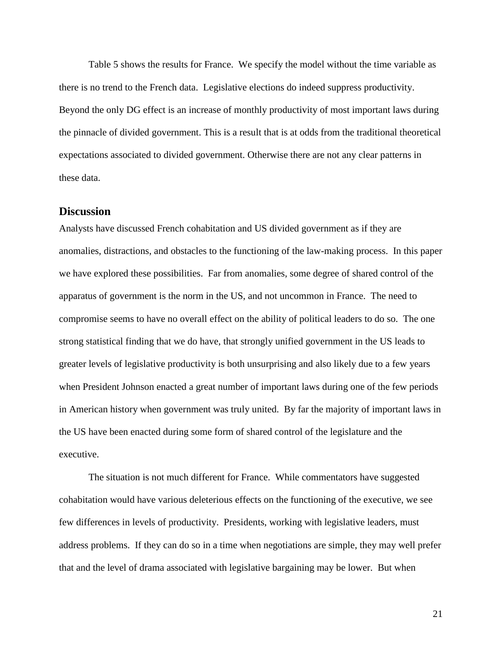Table 5 shows the results for France. We specify the model without the time variable as there is no trend to the French data. Legislative elections do indeed suppress productivity. Beyond the only DG effect is an increase of monthly productivity of most important laws during the pinnacle of divided government. This is a result that is at odds from the traditional theoretical expectations associated to divided government. Otherwise there are not any clear patterns in these data.

#### **Discussion**

Analysts have discussed French cohabitation and US divided government as if they are anomalies, distractions, and obstacles to the functioning of the law-making process. In this paper we have explored these possibilities. Far from anomalies, some degree of shared control of the apparatus of government is the norm in the US, and not uncommon in France. The need to compromise seems to have no overall effect on the ability of political leaders to do so. The one strong statistical finding that we do have, that strongly unified government in the US leads to greater levels of legislative productivity is both unsurprising and also likely due to a few years when President Johnson enacted a great number of important laws during one of the few periods in American history when government was truly united. By far the majority of important laws in the US have been enacted during some form of shared control of the legislature and the executive.

The situation is not much different for France. While commentators have suggested cohabitation would have various deleterious effects on the functioning of the executive, we see few differences in levels of productivity. Presidents, working with legislative leaders, must address problems. If they can do so in a time when negotiations are simple, they may well prefer that and the level of drama associated with legislative bargaining may be lower. But when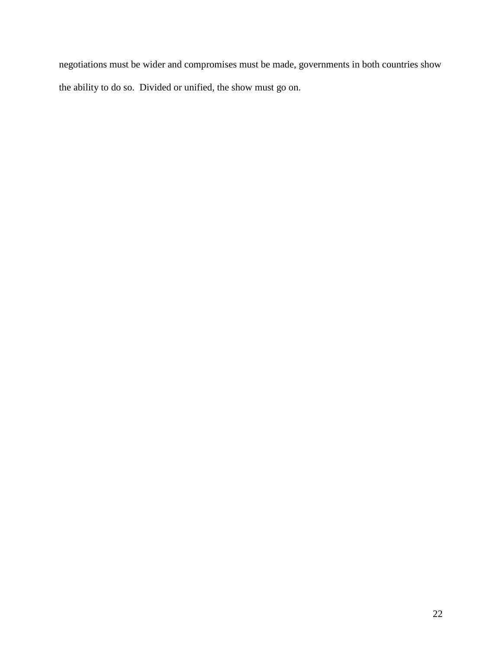negotiations must be wider and compromises must be made, governments in both countries show the ability to do so. Divided or unified, the show must go on.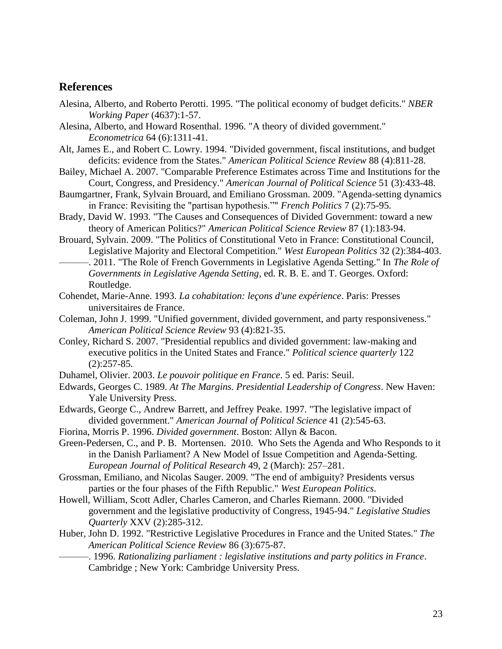### **References**

- Alesina, Alberto, and Roberto Perotti. 1995. "The political economy of budget deficits." *NBER Working Paper* (4637):1-57.
- Alesina, Alberto, and Howard Rosenthal. 1996. "A theory of divided government." *Econometrica* 64 (6):1311-41.
- Alt, James E., and Robert C. Lowry. 1994. "Divided government, fiscal institutions, and budget deficits: evidence from the States." *American Political Science Review* 88 (4):811-28.
- Bailey, Michael A. 2007. "Comparable Preference Estimates across Time and Institutions for the Court, Congress, and Presidency." *American Journal of Political Science* 51 (3):433-48.
- Baumgartner, Frank, Sylvain Brouard, and Emiliano Grossman. 2009. "Agenda-setting dynamics in France: Revisiting the "partisan hypothesis."" *French Politics* 7 (2):75-95.
- Brady, David W. 1993. "The Causes and Consequences of Divided Government: toward a new theory of American Politics?" *American Political Science Review* 87 (1):183-94.
- Brouard, Sylvain. 2009. "The Politics of Constitutional Veto in France: Constitutional Council, Legislative Majority and Electoral Competition." *West European Politics* 32 (2):384-403.
- ———. 2011. "The Role of French Governments in Legislative Agenda Setting." In *The Role of Governments in Legislative Agenda Setting*, ed. R. B. E. and T. Georges. Oxford: Routledge.
- Cohendet, Marie-Anne. 1993. *La cohabitation: leçons d'une expérience*. Paris: Presses universitaires de France.
- Coleman, John J. 1999. "Unified government, divided government, and party responsiveness." *American Political Science Review* 93 (4):821-35.
- Conley, Richard S. 2007. "Presidential republics and divided government: law-making and executive politics in the United States and France." *Political science quarterly* 122  $(2):257-85.$
- Duhamel, Olivier. 2003. *Le pouvoir politique en France*. 5 ed. Paris: Seuil.
- Edwards, Georges C. 1989. *At The Margins. Presidential Leadership of Congress*. New Haven: Yale University Press.
- Edwards, George C., Andrew Barrett, and Jeffrey Peake. 1997. "The legislative impact of divided government." *American Journal of Political Science* 41 (2):545-63.
- Fiorina, Morris P. 1996. *Divided government*. Boston: Allyn & Bacon.
- Green-Pedersen, C., and P. B. Mortensen. 2010. Who Sets the Agenda and Who Responds to it in the Danish Parliament? A New Model of Issue Competition and Agenda-Setting. *European Journal of Political Research* 49, 2 (March): 257–281.
- Grossman, Emiliano, and Nicolas Sauger. 2009. "The end of ambiguity? Presidents versus parties or the four phases of the Fifth Republic." *West European Politics*.
- Howell, William, Scott Adler, Charles Cameron, and Charles Riemann. 2000. "Divided government and the legislative productivity of Congress, 1945-94." *Legislative Studies Quarterly* XXV (2):285-312.
- Huber, John D. 1992. "Restrictive Legislative Procedures in France and the United States." *The American Political Science Review* 86 (3):675-87.

———. 1996. *Rationalizing parliament : legislative institutions and party politics in France*. Cambridge ; New York: Cambridge University Press.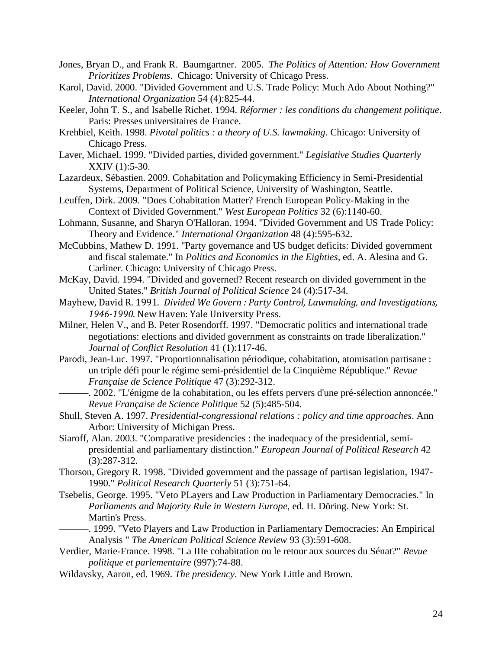- Jones, Bryan D., and Frank R. Baumgartner. 2005. *The Politics of Attention: How Government Prioritizes Problems*. Chicago: University of Chicago Press.
- Karol, David. 2000. "Divided Government and U.S. Trade Policy: Much Ado About Nothing?" *International Organization* 54 (4):825-44.
- Keeler, John T. S., and Isabelle Richet. 1994. *Réformer : les conditions du changement politique*. Paris: Presses universitaires de France.
- Krehbiel, Keith. 1998. *Pivotal politics : a theory of U.S. lawmaking*. Chicago: University of Chicago Press.
- Laver, Michael. 1999. "Divided parties, divided government." *Legislative Studies Quarterly* XXIV (1):5-30.
- Lazardeux, Sébastien. 2009. Cohabitation and Policymaking Efficiency in Semi-Presidential Systems, Department of Political Science, University of Washington, Seattle.
- Leuffen, Dirk. 2009. "Does Cohabitation Matter? French European Policy-Making in the Context of Divided Government." *West European Politics* 32 (6):1140-60.
- Lohmann, Susanne, and Sharyn O'Halloran. 1994. "Divided Government and US Trade Policy: Theory and Evidence." *International Organization* 48 (4):595-632.
- McCubbins, Mathew D. 1991. "Party governance and US budget deficits: Divided government and fiscal stalemate." In *Politics and Economics in the Eighties*, ed. A. Alesina and G. Carliner. Chicago: University of Chicago Press.
- McKay, David. 1994. "Divided and governed? Recent research on divided government in the United States." *British Journal of Political Science* 24 (4):517-34.
- Mayhew, David R. 1991. *Divided We Govern : Party Control, Lawmaking, and Investigations, 1946-1990*. New Haven: Yale University Press.
- Milner, Helen V., and B. Peter Rosendorff. 1997. "Democratic politics and international trade negotiations: elections and divided government as constraints on trade liberalization." *Journal of Conflict Resolution* 41 (1):117-46.
- Parodi, Jean-Luc. 1997. "Proportionnalisation périodique, cohabitation, atomisation partisane : un triple défi pour le régime semi-présidentiel de la Cinquième République." *Revue Française de Science Politique* 47 (3):292-312.
- ———. 2002. "L'énigme de la cohabitation, ou les effets pervers d'une pré-sélection annoncée." *Revue Française de Science Politique* 52 (5):485-504.
- Shull, Steven A. 1997. *Presidential-congressional relations : policy and time approaches*. Ann Arbor: University of Michigan Press.
- Siaroff, Alan. 2003. "Comparative presidencies : the inadequacy of the presidential, semipresidential and parliamentary distinction." *European Journal of Political Research* 42 (3):287-312.
- Thorson, Gregory R. 1998. "Divided government and the passage of partisan legislation, 1947- 1990." *Political Research Quarterly* 51 (3):751-64.
- Tsebelis, George. 1995. "Veto PLayers and Law Production in Parliamentary Democracies." In *Parliaments and Majority Rule in Western Europe*, ed. H. Döring. New York: St. Martin's Press.
- -. 1999. "Veto Players and Law Production in Parliamentary Democracies: An Empirical Analysis " *The American Political Science Review* 93 (3):591-608.
- Verdier, Marie-France. 1998. "La IIIe cohabitation ou le retour aux sources du Sénat?" *Revue politique et parlementaire* (997):74-88.
- Wildavsky, Aaron, ed. 1969. *The presidency*. New York Little and Brown.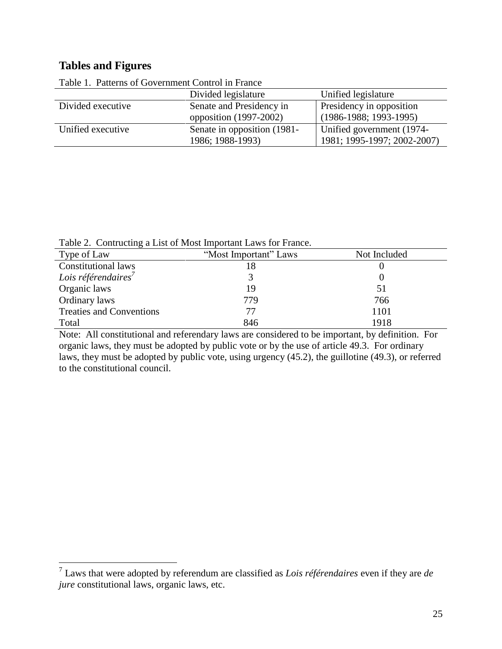# **Tables and Figures**

|                   | Divided legislature         | Unified legislature         |
|-------------------|-----------------------------|-----------------------------|
| Divided executive | Senate and Presidency in    | Presidency in opposition    |
|                   | opposition $(1997-2002)$    | $(1986-1988; 1993-1995)$    |
| Unified executive | Senate in opposition (1981- | Unified government (1974-   |
|                   | 1986; 1988-1993)            | 1981; 1995-1997; 2002-2007) |

Table 1. Patterns of Government Control in France

Table 2. Contructing a List of Most Important Laws for France.

| Type of Law                     | "Most Important" Laws | Not Included |
|---------------------------------|-----------------------|--------------|
| <b>Constitutional laws</b>      |                       |              |
| Lois référendaires              |                       |              |
| Organic laws                    | 19                    | 51           |
| Ordinary laws                   | 779                   | 766          |
| <b>Treaties and Conventions</b> | 77                    | 1101         |
| Total                           | 846                   | 1918         |

Note: All constitutional and referendary laws are considered to be important, by definition. For organic laws, they must be adopted by public vote or by the use of article 49.3. For ordinary laws, they must be adopted by public vote, using urgency (45.2), the guillotine (49.3), or referred to the constitutional council.

 7 Laws that were adopted by referendum are classified as *Lois référendaires* even if they are *de jure* constitutional laws, organic laws, etc.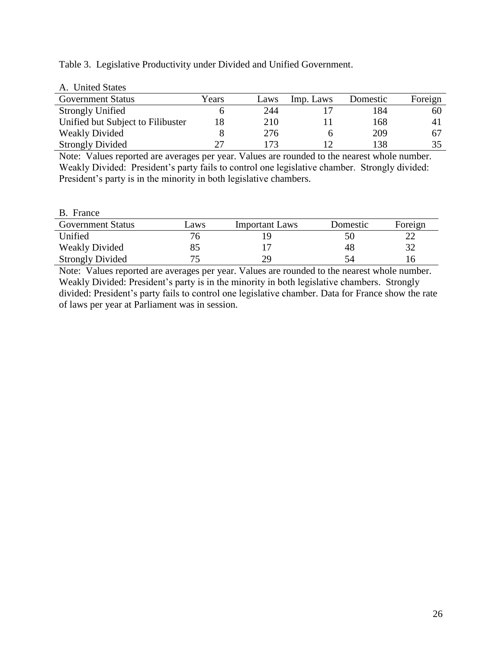|  |  |  | Table 3. Legislative Productivity under Divided and Unified Government. |
|--|--|--|-------------------------------------------------------------------------|
|  |  |  |                                                                         |

| A. United States                  |       |      |           |          |         |
|-----------------------------------|-------|------|-----------|----------|---------|
| <b>Government Status</b>          | Years | Laws | Imp. Laws | Domestic | Foreign |
| <b>Strongly Unified</b>           |       | 244  |           | 184      | 60      |
| Unified but Subject to Filibuster | 18    | 210  |           | 168      | 41      |
| <b>Weakly Divided</b>             |       | 276  |           | 209      | 67      |
| <b>Strongly Divided</b>           | 27    | 173  |           | 138      | 35      |

Note: Values reported are averages per year. Values are rounded to the nearest whole number. Weakly Divided: President's party fails to control one legislative chamber. Strongly divided: President's party is in the minority in both legislative chambers.

| B. France                |      |                       |          |         |
|--------------------------|------|-----------------------|----------|---------|
| <b>Government Status</b> | Laws | <b>Important Laws</b> | Domestic | Foreign |
| Unified                  | 76   |                       | 50       |         |
| <b>Weakly Divided</b>    |      |                       | 48       | 32      |
| <b>Strongly Divided</b>  |      | 29                    | 54       | 16      |

Note: Values reported are averages per year. Values are rounded to the nearest whole number. Weakly Divided: President's party is in the minority in both legislative chambers. Strongly divided: President's party fails to control one legislative chamber. Data for France show the rate of laws per year at Parliament was in session.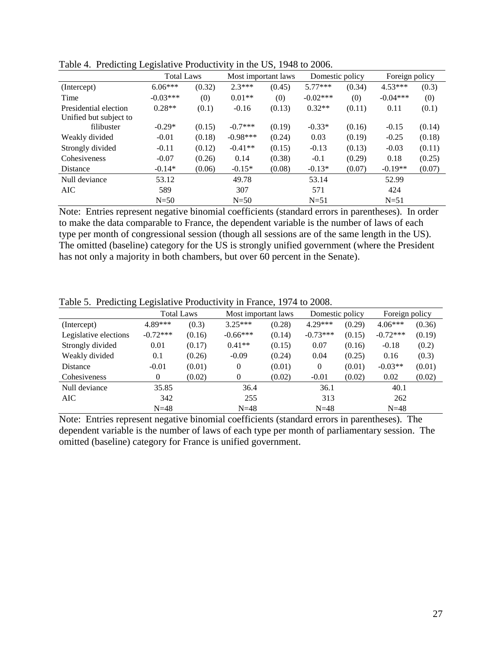|                        | <b>Total Laws</b> |        | Most important laws |        | Domestic policy |        | Foreign policy |        |
|------------------------|-------------------|--------|---------------------|--------|-----------------|--------|----------------|--------|
| (Intercept)            | $6.06***$         | (0.32) | $2.3***$            | (0.45) | $5.77***$       | (0.34) | $4.53***$      | (0.3)  |
| Time                   | $-0.03***$        | (0)    | $0.01**$            | (0)    | $-0.02***$      | (0)    | $-0.04***$     | (0)    |
| Presidential election  | $0.28**$          | (0.1)  | $-0.16$             | (0.13) | $0.32**$        | (0.11) | 0.11           | (0.1)  |
| Unified but subject to |                   |        |                     |        |                 |        |                |        |
| filibuster             | $-0.29*$          | (0.15) | $-0.7***$           | (0.19) | $-0.33*$        | (0.16) | $-0.15$        | (0.14) |
| Weakly divided         | $-0.01$           | (0.18) | $-0.98***$          | (0.24) | 0.03            | (0.19) | $-0.25$        | (0.18) |
| Strongly divided       | $-0.11$           | (0.12) | $-0.41**$           | (0.15) | $-0.13$         | (0.13) | $-0.03$        | (0.11) |
| Cohesiveness           | $-0.07$           | (0.26) | 0.14                | (0.38) | $-0.1$          | (0.29) | 0.18           | (0.25) |
| Distance               | $-0.14*$          | (0.06) | $-0.15*$            | (0.08) | $-0.13*$        | (0.07) | $-0.19**$      | (0.07) |
| Null deviance          | 53.12             |        | 49.78               |        | 53.14           |        | 52.99          |        |
| <b>AIC</b>             | 589               |        | 307                 |        | 571             |        | 424            |        |
|                        | $N=50$            |        | $N=50$              |        | $N = 51$        |        | $N=51$         |        |

Table 4. Predicting Legislative Productivity in the US, 1948 to 2006.

Note: Entries represent negative binomial coefficients (standard errors in parentheses). In order to make the data comparable to France, the dependent variable is the number of laws of each type per month of congressional session (though all sessions are of the same length in the US). The omitted (baseline) category for the US is strongly unified government (where the President has not only a majority in both chambers, but over 60 percent in the Senate).

|                       | - 0        |            |            |                     |            |                 |            |                |  |
|-----------------------|------------|------------|------------|---------------------|------------|-----------------|------------|----------------|--|
|                       |            | Total Laws |            | Most important laws |            | Domestic policy |            | Foreign policy |  |
| (Intercept)           | 4.89***    | (0.3)      | $3.25***$  | (0.28)              | $4.29***$  | (0.29)          | $4.06***$  | (0.36)         |  |
| Legislative elections | $-0.72***$ | (0.16)     | $-0.66***$ | (0.14)              | $-0.73***$ | (0.15)          | $-0.72***$ | (0.19)         |  |
| Strongly divided      | 0.01       | (0.17)     | $0.41**$   | (0.15)              | 0.07       | (0.16)          | $-0.18$    | (0.2)          |  |
| Weakly divided        | 0.1        | (0.26)     | $-0.09$    | (0.24)              | 0.04       | (0.25)          | 0.16       | (0.3)          |  |
| Distance              | $-0.01$    | (0.01)     | $\theta$   | (0.01)              | $\theta$   | (0.01)          | $-0.03**$  | (0.01)         |  |
| Cohesiveness          | $\theta$   | (0.02)     | $\Omega$   | (0.02)              | $-0.01$    | (0.02)          | 0.02       | (0.02)         |  |
| Null deviance         | 35.85      |            | 36.4       |                     | 36.1       |                 | 40.1       |                |  |

AIC 342 255 313 262

Table 5. Predicting Legislative Productivity in France, 1974 to 2008.

Note: Entries represent negative binomial coefficients (standard errors in parentheses). The dependent variable is the number of laws of each type per month of parliamentary session. The omitted (baseline) category for France is unified government.

N=48 N=48 N=48 N=48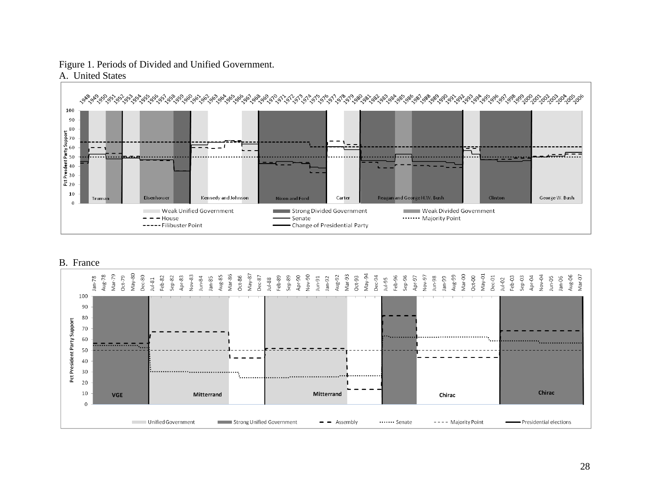